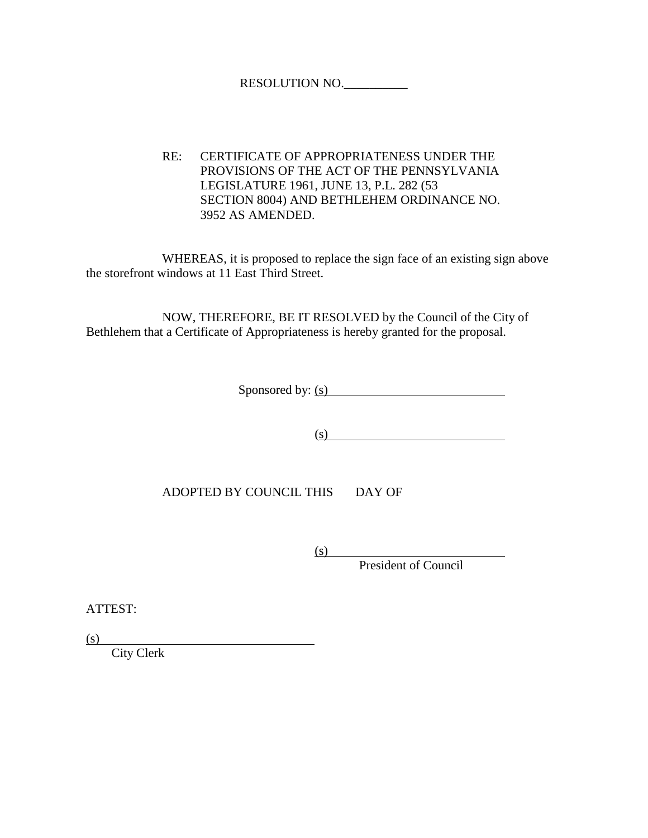## RESOLUTION NO.\_\_\_\_\_\_\_\_\_\_

RE: CERTIFICATE OF APPROPRIATENESS UNDER THE PROVISIONS OF THE ACT OF THE PENNSYLVANIA LEGISLATURE 1961, JUNE 13, P.L. 282 (53 SECTION 8004) AND BETHLEHEM ORDINANCE NO. 3952 AS AMENDED.

WHEREAS, it is proposed to replace the sign face of an existing sign above the storefront windows at 11 East Third Street.

NOW, THEREFORE, BE IT RESOLVED by the Council of the City of Bethlehem that a Certificate of Appropriateness is hereby granted for the proposal.

Sponsored by: (s)

 $\overline{\text{(s)}}$ 

ADOPTED BY COUNCIL THIS DAY OF

(s)

President of Council

ATTEST:

(s)

City Clerk